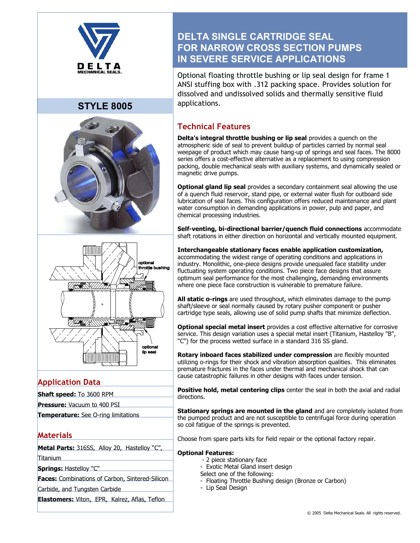

# **STYLE 8005**





## **Application Data**

- **Shaft speed:** To 3600 RPM
- **Pressure:** Vacuum to 400 PSI

**Temperature:** See O-ring limitations

## **Materials**

**Metal Parts:** 316SS, Alloy 20, Hastelloy "C", Titanium

**Springs:** Hastelloy "C"

**Faces:** Combinations of Carbon, Sintered-Silicon

Carbide, and Tungsten Carbide

**Elastomers:** Viton, EPR, Kalrez, Aflas, Teflon

# **DELTA SINGLE CARTRIDGE SEAL FOR NARROW CROSS SECTION PUMPS IN SEVERE SERVICE APPLICATIONS**

Optional floating throttle bushing or lip seal design for frame 1 ANSI stuffing box with .312 packing space. Provides solution for dissolved and undissolved solids and thermally sensitive fluid applications.

## **Technical Features**

**Delta's integral throttle bushing or lip seal** provides a quench on the atmospheric side of seal to prevent buildup of particles carried by normal seal weepage of product which may cause hang-up of springs and seal faces. The 8000 series offers a cost-effective alternative as a replacement to using compression packing, double mechanical seals with auxiliary systems, and dynamically sealed or magnetic drive pumps.

**Optional gland lip seal** provides a secondary containment seal allowing the use of a quench fluid reservoir, stand pipe, or external water flush for outboard side lubrication of seal faces. This configuration offers reduced maintenance and plant water consumption in demanding applications in power, pulp and paper, and chemical processing industries.

**Self-venting, bi-directional barrier/quench fluid connections** accommodate shaft rotations in either direction on horizontal and vertically mounted equipment.

**Interchangeable stationary faces enable application customization,** accommodating the widest range of operating conditions and applications in industry. Monolithic, one-piece designs provide unequaled face stability under fluctuating system operating conditions. Two piece face designs that assure optimum seal performance for the most challenging, demanding environments where one piece face construction is vulnerable to premature failure.

**All static o-rings** are used throughout, which eliminates damage to the pump shaft/sleeve or seal normally caused by rotary pusher component or pusher cartridge type seals, allowing use of solid pump shafts that minimize deflection.

**Optional special metal insert** provides a cost effective alternative for corrosive service. This design variation uses a special metal insert (Titanium, Hastelloy "B", "C") for the process wetted surface in a standard 316 SS gland.

**Rotary inboard faces stabilized under compression** are flexibly mounted utilizing o-rings for their shock and vibration absorption qualities. This eliminates premature fractures in the faces under thermal and mechanical shock that can cause catastrophic failures in other designs with faces under tension.

Positive hold, metal centering clips center the seal in both the axial and radial directions.

**Stationary springs are mounted in the gland** and are completely isolated from the pumped product and are not susceptible to centrifugal force during operation so coil fatigue of the springs is prevented.

Choose from spare parts kits for field repair or the optional factory repair.

#### **Optional Features:**

- 2 piece stationary face
- Exotic Metal Gland insert design
- Select one of the following:
- Floating Throttle Bushing design (Bronze or Carbon)
- Lip Seal Design